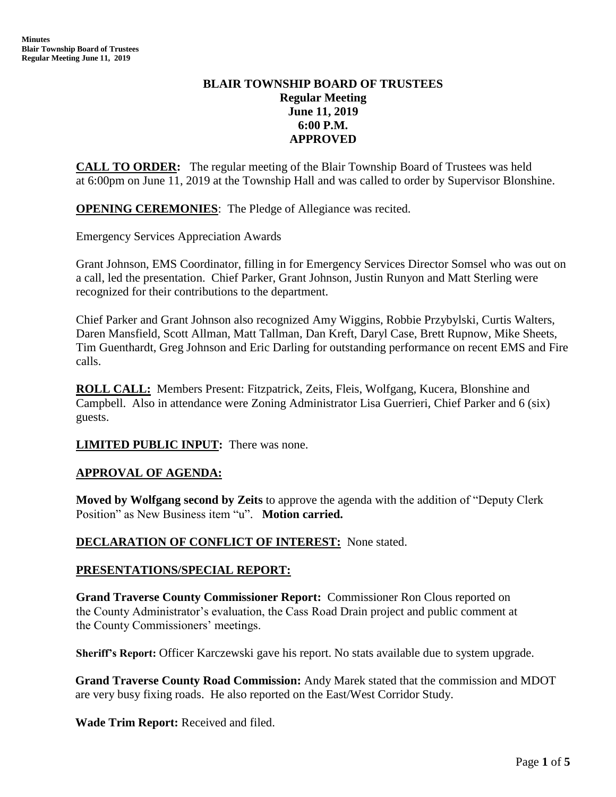## **BLAIR TOWNSHIP BOARD OF TRUSTEES Regular Meeting June 11, 2019 6:00 P.M. APPROVED**

**CALL TO ORDER:** The regular meeting of the Blair Township Board of Trustees was held at 6:00pm on June 11, 2019 at the Township Hall and was called to order by Supervisor Blonshine.

**OPENING CEREMONIES**: The Pledge of Allegiance was recited.

Emergency Services Appreciation Awards

Grant Johnson, EMS Coordinator, filling in for Emergency Services Director Somsel who was out on a call, led the presentation. Chief Parker, Grant Johnson, Justin Runyon and Matt Sterling were recognized for their contributions to the department.

Chief Parker and Grant Johnson also recognized Amy Wiggins, Robbie Przybylski, Curtis Walters, Daren Mansfield, Scott Allman, Matt Tallman, Dan Kreft, Daryl Case, Brett Rupnow, Mike Sheets, Tim Guenthardt, Greg Johnson and Eric Darling for outstanding performance on recent EMS and Fire calls.

**ROLL CALL:** Members Present: Fitzpatrick, Zeits, Fleis, Wolfgang, Kucera, Blonshine and Campbell. Also in attendance were Zoning Administrator Lisa Guerrieri, Chief Parker and 6 (six) guests.

**LIMITED PUBLIC INPUT:** There was none.

## **APPROVAL OF AGENDA:**

**Moved by Wolfgang second by Zeits** to approve the agenda with the addition of "Deputy Clerk Position" as New Business item "u". **Motion carried.**

## **DECLARATION OF CONFLICT OF INTEREST:** None stated.

### **PRESENTATIONS/SPECIAL REPORT:**

**Grand Traverse County Commissioner Report:** Commissioner Ron Clous reported on the County Administrator's evaluation, the Cass Road Drain project and public comment at the County Commissioners' meetings.

**Sheriff's Report:** Officer Karczewski gave his report. No stats available due to system upgrade.

**Grand Traverse County Road Commission:** Andy Marek stated that the commission and MDOT are very busy fixing roads. He also reported on the East/West Corridor Study.

**Wade Trim Report:** Received and filed.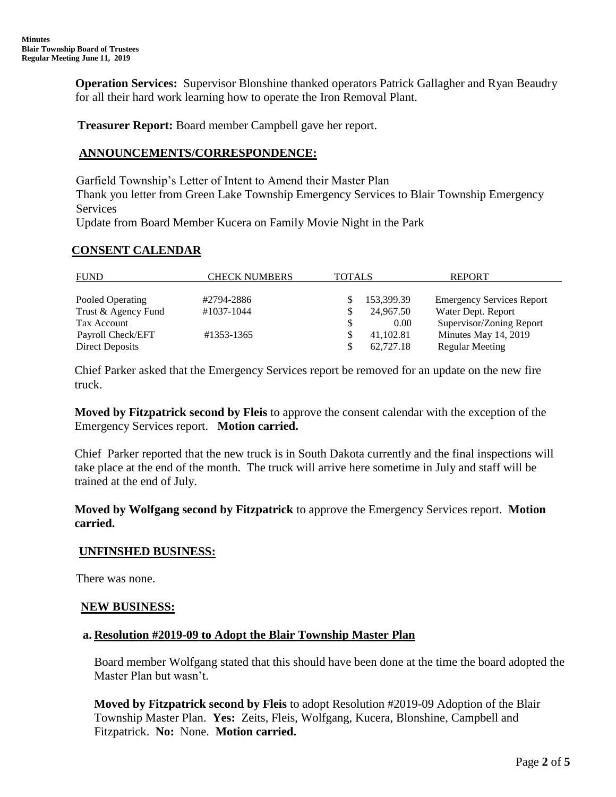**Operation Services:** Supervisor Blonshine thanked operators Patrick Gallagher and Ryan Beaudry for all their hard work learning how to operate the Iron Removal Plant.

 **Treasurer Report:** Board member Campbell gave her report.

## **ANNOUNCEMENTS/CORRESPONDENCE:**

Garfield Township's Letter of Intent to Amend their Master Plan

Thank you letter from Green Lake Township Emergency Services to Blair Township Emergency Services

Update from Board Member Kucera on Family Movie Night in the Park

## **CONSENT CALENDAR**

| <b>FUND</b>         | <b>CHECK NUMBERS</b> | <b>TOTALS</b> |            | <b>REPORT</b>                    |
|---------------------|----------------------|---------------|------------|----------------------------------|
|                     |                      |               |            |                                  |
| Pooled Operating    | #2794-2886           |               | 153,399.39 | <b>Emergency Services Report</b> |
| Trust & Agency Fund | #1037-1044           |               | 24,967.50  | Water Dept. Report               |
| Tax Account         |                      |               | 0.00       | Supervisor/Zoning Report         |
| Payroll Check/EFT   | #1353-1365           |               | 41.102.81  | Minutes May 14, 2019             |
| Direct Deposits     |                      |               | 62.727.18  | <b>Regular Meeting</b>           |

Chief Parker asked that the Emergency Services report be removed for an update on the new fire truck.

**Moved by Fitzpatrick second by Fleis** to approve the consent calendar with the exception of the Emergency Services report. **Motion carried.** 

Chief Parker reported that the new truck is in South Dakota currently and the final inspections will take place at the end of the month. The truck will arrive here sometime in July and staff will be trained at the end of July.

**Moved by Wolfgang second by Fitzpatrick** to approve the Emergency Services report. **Motion carried.**

## **UNFINSHED BUSINESS:**

There was none.

## **NEW BUSINESS:**

### **a. Resolution #2019-09 to Adopt the Blair Township Master Plan**

Board member Wolfgang stated that this should have been done at the time the board adopted the Master Plan but wasn't.

**Moved by Fitzpatrick second by Fleis** to adopt Resolution #2019-09 Adoption of the Blair Township Master Plan. **Yes:** Zeits, Fleis, Wolfgang, Kucera, Blonshine, Campbell and Fitzpatrick. **No:** None. **Motion carried.**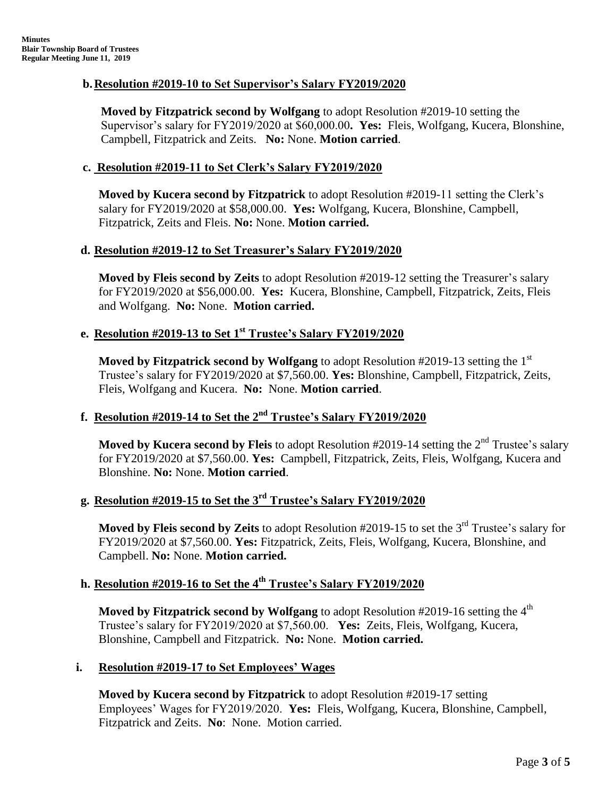## **b.Resolution #2019-10 to Set Supervisor's Salary FY2019/2020**

**Moved by Fitzpatrick second by Wolfgang** to adopt Resolution #2019-10 setting the Supervisor's salary for FY2019/2020 at \$60,000.00**. Yes:** Fleis, Wolfgang, Kucera, Blonshine, Campbell, Fitzpatrick and Zeits. **No:** None. **Motion carried**.

## **c. Resolution #2019-11 to Set Clerk's Salary FY2019/2020**

**Moved by Kucera second by Fitzpatrick** to adopt Resolution #2019-11 setting the Clerk's salary for FY2019/2020 at \$58,000.00. **Yes:** Wolfgang, Kucera, Blonshine, Campbell, Fitzpatrick, Zeits and Fleis. **No:** None. **Motion carried.**

## **d. Resolution #2019-12 to Set Treasurer's Salary FY2019/2020**

**Moved by Fleis second by Zeits** to adopt Resolution #2019-12 setting the Treasurer's salary for FY2019/2020 at \$56,000.00. **Yes:** Kucera, Blonshine, Campbell, Fitzpatrick, Zeits, Fleis and Wolfgang. **No:** None. **Motion carried.**

# **e. Resolution #2019-13 to Set 1st Trustee's Salary FY2019/2020**

**Moved by Fitzpatrick second by Wolfgang** to adopt Resolution #2019-13 setting the 1<sup>st</sup> Trustee's salary for FY2019/2020 at \$7,560.00. **Yes:** Blonshine, Campbell, Fitzpatrick, Zeits, Fleis, Wolfgang and Kucera. **No:** None. **Motion carried**.

# **f. Resolution #2019-14 to Set the 2nd Trustee's Salary FY2019/2020**

**Moved by Kucera second by Fleis** to adopt Resolution #2019-14 setting the 2<sup>nd</sup> Trustee's salary for FY2019/2020 at \$7,560.00. **Yes:** Campbell, Fitzpatrick, Zeits, Fleis, Wolfgang, Kucera and Blonshine. **No:** None. **Motion carried**.

# **g. Resolution #2019-15 to Set the 3rd Trustee's Salary FY2019/2020**

**Moved by Fleis second by Zeits** to adopt Resolution #2019-15 to set the 3<sup>rd</sup> Trustee's salary for FY2019/2020 at \$7,560.00. **Yes:** Fitzpatrick, Zeits, Fleis, Wolfgang, Kucera, Blonshine, and Campbell. **No:** None. **Motion carried.**

# **h. Resolution #2019-16 to Set the 4th Trustee's Salary FY2019/2020**

**Moved by Fitzpatrick second by Wolfgang** to adopt Resolution #2019-16 setting the 4<sup>th</sup> Trustee's salary for FY2019/2020 at \$7,560.00. **Yes:** Zeits, Fleis, Wolfgang, Kucera, Blonshine, Campbell and Fitzpatrick. **No:** None. **Motion carried.**

## **i. Resolution #2019-17 to Set Employees' Wages**

**Moved by Kucera second by Fitzpatrick** to adopt Resolution #2019-17 setting Employees' Wages for FY2019/2020. **Yes:** Fleis, Wolfgang, Kucera, Blonshine, Campbell, Fitzpatrick and Zeits. **No**: None. Motion carried.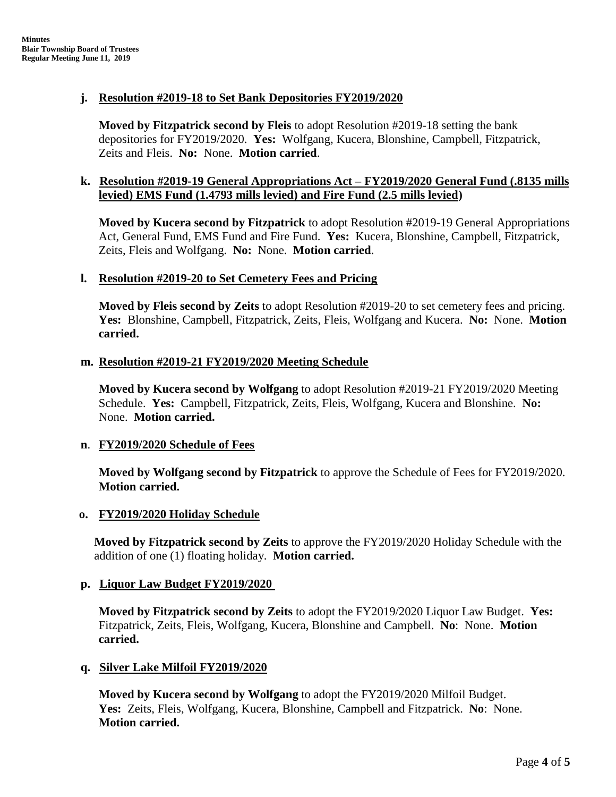## **j. Resolution #2019-18 to Set Bank Depositories FY2019/2020**

**Moved by Fitzpatrick second by Fleis** to adopt Resolution #2019-18 setting the bank depositories for FY2019/2020. **Yes:** Wolfgang, Kucera, Blonshine, Campbell, Fitzpatrick, Zeits and Fleis. **No:** None. **Motion carried**.

## **k. Resolution #2019-19 General Appropriations Act – FY2019/2020 General Fund (.8135 mills levied) EMS Fund (1.4793 mills levied) and Fire Fund (2.5 mills levied)**

**Moved by Kucera second by Fitzpatrick** to adopt Resolution #2019-19 General Appropriations Act, General Fund, EMS Fund and Fire Fund. **Yes:** Kucera, Blonshine, Campbell, Fitzpatrick, Zeits, Fleis and Wolfgang. **No:** None. **Motion carried**.

## **l. Resolution #2019-20 to Set Cemetery Fees and Pricing**

**Moved by Fleis second by Zeits** to adopt Resolution #2019-20 to set cemetery fees and pricing. **Yes:** Blonshine, Campbell, Fitzpatrick, Zeits, Fleis, Wolfgang and Kucera. **No:** None. **Motion carried.**

### **m. Resolution #2019-21 FY2019/2020 Meeting Schedule**

**Moved by Kucera second by Wolfgang** to adopt Resolution #2019-21 FY2019/2020 Meeting Schedule. **Yes:** Campbell, Fitzpatrick, Zeits, Fleis, Wolfgang, Kucera and Blonshine. **No:** None. **Motion carried.**

## **n**. **FY2019/2020 Schedule of Fees**

**Moved by Wolfgang second by Fitzpatrick** to approve the Schedule of Fees for FY2019/2020. **Motion carried.**

## **o. FY2019/2020 Holiday Schedule**

**Moved by Fitzpatrick second by Zeits** to approve the FY2019/2020 Holiday Schedule with the addition of one (1) floating holiday. **Motion carried.**

## **p. Liquor Law Budget FY2019/2020**

 **Moved by Fitzpatrick second by Zeits** to adopt the FY2019/2020 Liquor Law Budget. **Yes:** Fitzpatrick, Zeits, Fleis, Wolfgang, Kucera, Blonshine and Campbell. **No**: None. **Motion carried.**

## **q. Silver Lake Milfoil FY2019/2020**

 **Moved by Kucera second by Wolfgang** to adopt the FY2019/2020 Milfoil Budget. **Yes:** Zeits, Fleis, Wolfgang, Kucera, Blonshine, Campbell and Fitzpatrick. **No**: None. **Motion carried.**